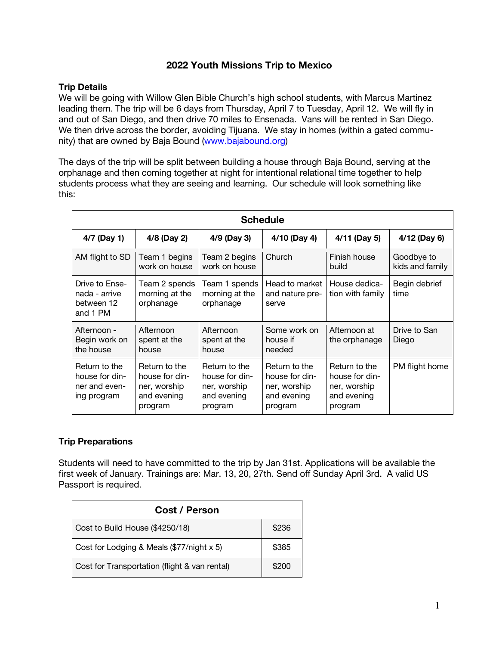## **2022 Youth Missions Trip to Mexico**

## **Trip Details**

We will be going with Willow Glen Bible Church's high school students, with Marcus Martinez leading them. The trip will be 6 days from Thursday, April 7 to Tuesday, April 12. We will fly in and out of San Diego, and then drive 70 miles to Ensenada. Vans will be rented in San Diego. We then drive across the border, avoiding Tijuana. We stay in homes (within a gated community) that are owned by Baja Bound (www.bajabound.org)

The days of the trip will be split between building a house through Baja Bound, serving at the orphanage and then coming together at night for intentional relational time together to help students process what they are seeing and learning. Our schedule will look something like this:

| <b>Schedule</b>                                                 |                                                                           |                                                                           |                                                                           |                                                                           |                               |  |
|-----------------------------------------------------------------|---------------------------------------------------------------------------|---------------------------------------------------------------------------|---------------------------------------------------------------------------|---------------------------------------------------------------------------|-------------------------------|--|
| 4/7 (Day 1)                                                     | 4/8 (Day 2)                                                               | 4/9 (Day 3)                                                               | 4/10 (Day 4)                                                              | 4/11 (Day 5)                                                              | 4/12 (Day 6)                  |  |
| AM flight to SD                                                 | Team 1 begins<br>work on house                                            | Team 2 begins<br>work on house                                            | Church                                                                    | Finish house<br>build                                                     | Goodbye to<br>kids and family |  |
| Drive to Ense-<br>nada - arrive<br>between 12<br>and 1 PM       | Team 2 spends<br>morning at the<br>orphanage                              | Team 1 spends<br>morning at the<br>orphanage                              | Head to market<br>and nature pre-<br>serve                                | House dedica-<br>tion with family                                         | Begin debrief<br>time         |  |
| Afternoon -<br>Begin work on<br>the house                       | Afternoon<br>spent at the<br>house                                        | Afternoon<br>spent at the<br>house                                        | Some work on<br>house if<br>needed                                        | Afternoon at<br>the orphanage                                             | Drive to San<br>Diego         |  |
| Return to the<br>house for din-<br>ner and even-<br>ing program | Return to the<br>house for din-<br>ner, worship<br>and evening<br>program | Return to the<br>house for din-<br>ner, worship<br>and evening<br>program | Return to the<br>house for din-<br>ner, worship<br>and evening<br>program | Return to the<br>house for din-<br>ner, worship<br>and evening<br>program | PM flight home                |  |

## **Trip Preparations**

Students will need to have committed to the trip by Jan 31st. Applications will be available the first week of January. Trainings are: Mar. 13, 20, 27th. Send off Sunday April 3rd. A valid US Passport is required.

| Cost / Person                                 |       |
|-----------------------------------------------|-------|
| Cost to Build House (\$4250/18)               | \$236 |
| Cost for Lodging & Meals (\$77/night x 5)     | \$385 |
| Cost for Transportation (flight & van rental) | \$200 |